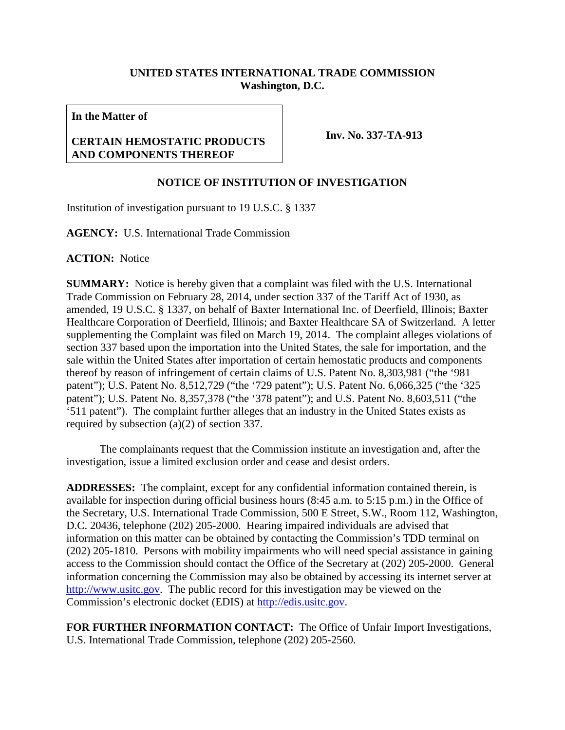## **UNITED STATES INTERNATIONAL TRADE COMMISSION Washington, D.C.**

**In the Matter of**

## **CERTAIN HEMOSTATIC PRODUCTS AND COMPONENTS THEREOF**

**Inv. No. 337-TA-913**

## **NOTICE OF INSTITUTION OF INVESTIGATION**

Institution of investigation pursuant to 19 U.S.C. § 1337

**AGENCY:** U.S. International Trade Commission

**ACTION:** Notice

**SUMMARY:** Notice is hereby given that a complaint was filed with the U.S. International Trade Commission on February 28, 2014, under section 337 of the Tariff Act of 1930, as amended, 19 U.S.C. § 1337, on behalf of Baxter International Inc. of Deerfield, Illinois; Baxter Healthcare Corporation of Deerfield, Illinois; and Baxter Healthcare SA of Switzerland. A letter supplementing the Complaint was filed on March 19, 2014. The complaint alleges violations of section 337 based upon the importation into the United States, the sale for importation, and the sale within the United States after importation of certain hemostatic products and components thereof by reason of infringement of certain claims of U.S. Patent No. 8,303,981 ("the '981 patent"); U.S. Patent No. 8,512,729 ("the '729 patent"); U.S. Patent No. 6,066,325 ("the '325 patent"); U.S. Patent No. 8,357,378 ("the '378 patent"); and U.S. Patent No. 8,603,511 ("the '511 patent"). The complaint further alleges that an industry in the United States exists as required by subsection (a)(2) of section 337.

The complainants request that the Commission institute an investigation and, after the investigation, issue a limited exclusion order and cease and desist orders.

**ADDRESSES:** The complaint, except for any confidential information contained therein, is available for inspection during official business hours (8:45 a.m. to 5:15 p.m.) in the Office of the Secretary, U.S. International Trade Commission, 500 E Street, S.W., Room 112, Washington, D.C. 20436, telephone (202) 205-2000. Hearing impaired individuals are advised that information on this matter can be obtained by contacting the Commission's TDD terminal on (202) 205-1810. Persons with mobility impairments who will need special assistance in gaining access to the Commission should contact the Office of the Secretary at (202) 205-2000. General information concerning the Commission may also be obtained by accessing its internet server at [http://www.usitc.gov.](http://www.usitc.gov/) The public record for this investigation may be viewed on the Commission's electronic docket (EDIS) at [http://edis.usitc.gov.](http://edis.usitc.gov/)

**FOR FURTHER INFORMATION CONTACT:** The Office of Unfair Import Investigations, U.S. International Trade Commission, telephone (202) 205-2560.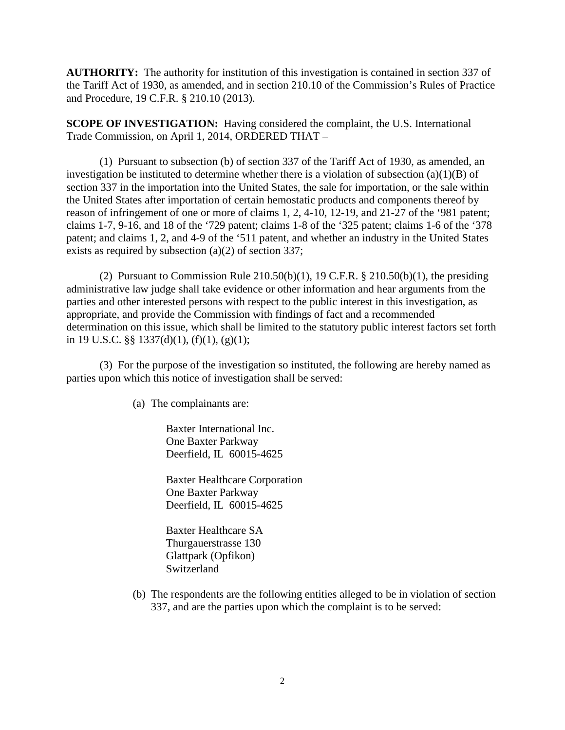**AUTHORITY:** The authority for institution of this investigation is contained in section 337 of the Tariff Act of 1930, as amended, and in section 210.10 of the Commission's Rules of Practice and Procedure, 19 C.F.R. § 210.10 (2013).

**SCOPE OF INVESTIGATION:** Having considered the complaint, the U.S. International Trade Commission, on April 1, 2014, ORDERED THAT –

(1) Pursuant to subsection (b) of section 337 of the Tariff Act of 1930, as amended, an investigation be instituted to determine whether there is a violation of subsection  $(a)(1)(B)$  of section 337 in the importation into the United States, the sale for importation, or the sale within the United States after importation of certain hemostatic products and components thereof by reason of infringement of one or more of claims 1, 2, 4-10, 12-19, and 21-27 of the '981 patent; claims 1-7, 9-16, and 18 of the '729 patent; claims 1-8 of the '325 patent; claims 1-6 of the '378 patent; and claims 1, 2, and 4-9 of the '511 patent, and whether an industry in the United States exists as required by subsection (a)(2) of section 337;

(2) Pursuant to Commission Rule  $210.50(b)(1)$ , 19 C.F.R. §  $210.50(b)(1)$ , the presiding administrative law judge shall take evidence or other information and hear arguments from the parties and other interested persons with respect to the public interest in this investigation, as appropriate, and provide the Commission with findings of fact and a recommended determination on this issue, which shall be limited to the statutory public interest factors set forth in 19 U.S.C. §§ 1337(d)(1), (f)(1), (g)(1);

(3) For the purpose of the investigation so instituted, the following are hereby named as parties upon which this notice of investigation shall be served:

(a) The complainants are:

Baxter International Inc. One Baxter Parkway Deerfield, IL 60015-4625

Baxter Healthcare Corporation One Baxter Parkway Deerfield, IL 60015-4625

Baxter Healthcare SA Thurgauerstrasse 130 Glattpark (Opfikon) Switzerland

(b) The respondents are the following entities alleged to be in violation of section 337, and are the parties upon which the complaint is to be served: